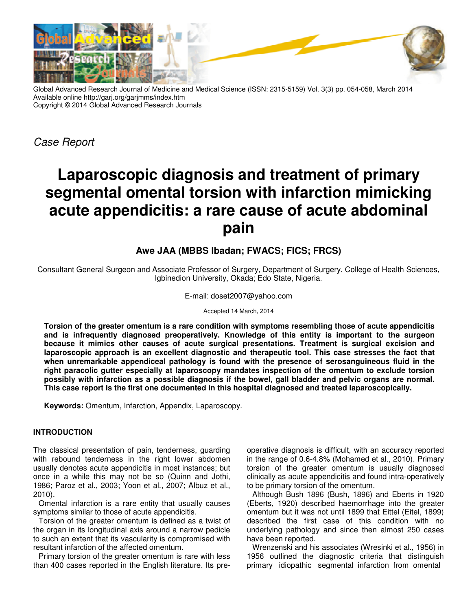

Global Advanced Research Journal of Medicine and Medical Science (ISSN: 2315-5159) Vol. 3(3) pp. 054-058, March 2014 Available online http://garj.org/garjmms/index.htm Copyright © 2014 Global Advanced Research Journals

Case Report

# **Laparoscopic diagnosis and treatment of primary segmental omental torsion with infarction mimicking acute appendicitis: a rare cause of acute abdominal pain**

## **Awe JAA (MBBS Ibadan; FWACS; FICS; FRCS)**

Consultant General Surgeon and Associate Professor of Surgery, Department of Surgery, College of Health Sciences, Igbinedion University, Okada; Edo State, Nigeria.

E-mail: doset2007@yahoo.com

Accepted 14 March, 2014

**Torsion of the greater omentum is a rare condition with symptoms resembling those of acute appendicitis and is infrequently diagnosed preoperatively. Knowledge of this entity is important to the surgeon because it mimics other causes of acute surgical presentations. Treatment is surgical excision and laparoscopic approach is an excellent diagnostic and therapeutic tool. This case stresses the fact that when unremarkable appendiceal pathology is found with the presence of serosanguineous fluid in the right paracolic gutter especially at laparoscopy mandates inspection of the omentum to exclude torsion possibly with infarction as a possible diagnosis if the bowel, gall bladder and pelvic organs are normal. This case report is the first one documented in this hospital diagnosed and treated laparoscopically.** 

**Keywords:** Omentum, Infarction, Appendix, Laparoscopy.

### **INTRODUCTION**

The classical presentation of pain, tenderness, guarding with rebound tenderness in the right lower abdomen usually denotes acute appendicitis in most instances; but once in a while this may not be so (Quinn and Jothi, 1986; Paroz et al., 2003; Yoon et al., 2007; Albuz et al., 2010).

Omental infarction is a rare entity that usually causes symptoms similar to those of acute appendicitis.

Torsion of the greater omentum is defined as a twist of the organ in its longitudinal axis around a narrow pedicle to such an extent that its vascularity is compromised with resultant infarction of the affected omentum.

Primary torsion of the greater omentum is rare with less than 400 cases reported in the English literature. Its pre-

operative diagnosis is difficult, with an accuracy reported in the range of 0.6-4.8% (Mohamed et al., 2010). Primary torsion of the greater omentum is usually diagnosed clinically as acute appendicitis and found intra-operatively to be primary torsion of the omentum.

Although Bush 1896 (Bush, 1896) and Eberts in 1920 (Eberts, 1920) described haemorrhage into the greater omentum but it was not until 1899 that Eittel (Eitel, 1899) described the first case of this condition with no underlying pathology and since then almost 250 cases have been reported.

Wrenzenski and his associates (Wresinki et al., 1956) in 1956 outlined the diagnostic criteria that distinguish primary idiopathic segmental infarction from omental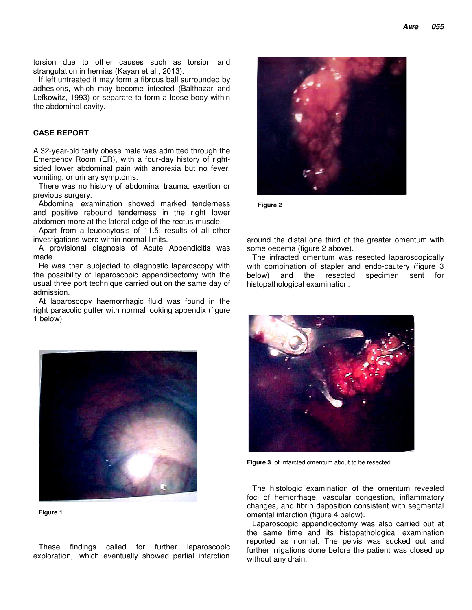torsion due to other causes such as torsion and strangulation in hernias (Kayan et al., 2013).

If left untreated it may form a fibrous ball surrounded by adhesions, which may become infected (Balthazar and Lefkowitz, 1993) or separate to form a loose body within the abdominal cavity.

#### **CASE REPORT**

A 32-year-old fairly obese male was admitted through the Emergency Room (ER), with a four-day history of rightsided lower abdominal pain with anorexia but no fever, vomiting, or urinary symptoms.

There was no history of abdominal trauma, exertion or previous surgery.

Abdominal examination showed marked tenderness and positive rebound tenderness in the right lower abdomen more at the lateral edge of the rectus muscle.

Apart from a leucocytosis of 11.5; results of all other investigations were within normal limits.

A provisional diagnosis of Acute Appendicitis was made.

He was then subjected to diagnostic laparoscopy with the possibility of laparoscopic appendicectomy with the usual three port technique carried out on the same day of admission.

At laparoscopy haemorrhagic fluid was found in the right paracolic gutter with normal looking appendix (figure 1 below)



**Figure 1**

These findings called for further laparoscopic exploration, which eventually showed partial infarction



**Figure 2**

around the distal one third of the greater omentum with some oedema (figure 2 above).

The infracted omentum was resected laparoscopically with combination of stapler and endo-cautery (figure 3 below) and the resected specimen sent for histopathological examination.



**Figure 3**. of Infarcted omentum about to be resected

The histologic examination of the omentum revealed foci of hemorrhage, vascular congestion, inflammatory changes, and fibrin deposition consistent with segmental omental infarction (figure 4 below).

Laparoscopic appendicectomy was also carried out at the same time and its histopathological examination reported as normal. The pelvis was sucked out and further irrigations done before the patient was closed up without any drain.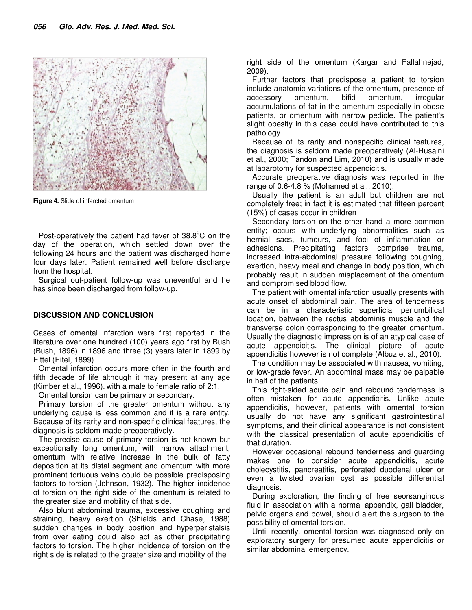

**Figure 4.** Slide of infarcted omentum

Post-operatively the patient had fever of  $38.8^{\circ}$ C on the day of the operation, which settled down over the following 24 hours and the patient was discharged home four days later. Patient remained well before discharge from the hospital.

Surgical out-patient follow-up was uneventful and he has since been discharged from follow-up.

#### **DISCUSSION AND CONCLUSION**

Cases of omental infarction were first reported in the literature over one hundred (100) years ago first by Bush (Bush, 1896) in 1896 and three (3) years later in 1899 by Eittel (Eitel, 1899).

Omental infarction occurs more often in the fourth and fifth decade of life although it may present at any age (Kimber et al., 1996). with a male to female ratio of 2:1.

Omental torsion can be primary or secondary.

Primary torsion of the greater omentum without any underlying cause is less common and it is a rare entity. Because of its rarity and non-specific clinical features, the diagnosis is seldom made preoperatively.

The precise cause of primary torsion is not known but exceptionally long omentum, with narrow attachment, omentum with relative increase in the bulk of fatty deposition at its distal segment and omentum with more prominent tortuous veins could be possible predisposing factors to torsion (Johnson, 1932). The higher incidence of torsion on the right side of the omentum is related to the greater size and mobility of that side.

Also blunt abdominal trauma, excessive coughing and straining, heavy exertion (Shields and Chase, 1988) sudden changes in body position and hyperperistalsis from over eating could also act as other precipitating factors to torsion. The higher incidence of torsion on the right side is related to the greater size and mobility of the

right side of the omentum (Kargar and Fallahnejad, 2009).

Further factors that predispose a patient to torsion include anatomic variations of the omentum, presence of accessory omentum, bifid omentum, irregular accumulations of fat in the omentum especially in obese patients, or omentum with narrow pedicle. The patient's slight obesity in this case could have contributed to this pathology.

Because of its rarity and nonspecific clinical features, the diagnosis is seldom made preoperatively (Al-Husaini et al., 2000; Tandon and Lim, 2010) and is usually made at laparotomy for suspected appendicitis.

Accurate preoperative diagnosis was reported in the range of 0.6-4.8 % (Mohamed et al., 2010).

Usually the patient is an adult but children are not completely free; in fact it is estimated that fifteen percent (15%) of cases occur in children.

Secondary torsion on the other hand a more common entity; occurs with underlying abnormalities such as hernial sacs, tumours, and foci of inflammation or adhesions. Precipitating factors comprise trauma, increased intra-abdominal pressure following coughing, exertion, heavy meal and change in body position, which probably result in sudden misplacement of the omentum and compromised blood flow.

The patient with omental infarction usually presents with acute onset of abdominal pain. The area of tenderness can be in a characteristic superficial periumbilical location, between the rectus abdominis muscle and the transverse colon corresponding to the greater omentum. Usually the diagnostic impression is of an atypical case of acute appendicitis. The clinical picture of acute appendicitis however is not complete (Albuz et al., 2010).

The condition may be associated with nausea, vomiting, or low-grade fever. An abdominal mass may be palpable in half of the patients.

This right-sided acute pain and rebound tenderness is often mistaken for acute appendicitis. Unlike acute appendicitis, however, patients with omental torsion usually do not have any significant gastrointestinal symptoms, and their clinical appearance is not consistent with the classical presentation of acute appendicitis of that duration.

However occasional rebound tenderness and guarding makes one to consider acute appendicitis, acute cholecystitis, pancreatitis, perforated duodenal ulcer or even a twisted ovarian cyst as possible differential diagnosis.

During exploration, the finding of free seorsanginous fluid in association with a normal appendix, gall bladder, pelvic organs and bowel, should alert the surgeon to the possibility of omental torsion.

Until recently, omental torsion was diagnosed only on exploratory surgery for presumed acute appendicitis or similar abdominal emergency.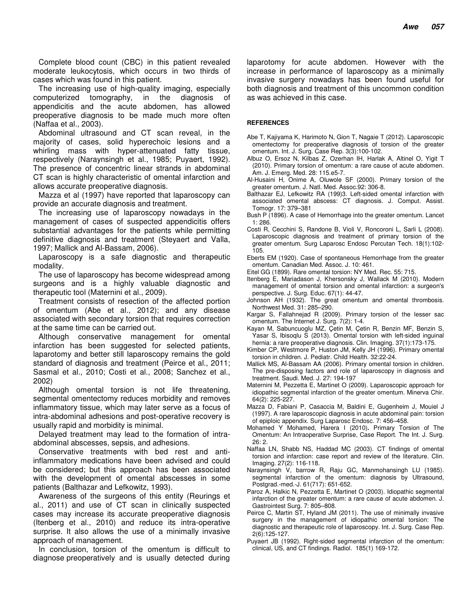Complete blood count (CBC) in this patient revealed moderate leukocytosis, which occurs in two thirds of cases which was found in this patient.

The increasing use of high-quality imaging, especially computerized tomography, in the diagnosis appendicitis and the acute abdomen, has allowed preoperative diagnosis to be made much more often (Naffaa et al., 2003).

Abdominal ultrasound and CT scan reveal, in the majority of cases, solid hyperechoic lesions and a whirling mass with hyper-attenuated fatty tissue, respectively (Naraynsingh et al., 1985; Puyaert, 1992). The presence of concentric linear strands in abdominal CT scan is highly characteristic of omental infarction and allows accurate preoperative diagnosis.

Mazza et al (1997) have reported that laparoscopy can provide an accurate diagnosis and treatment.

The increasing use of laparoscopy nowadays in the management of cases of suspected appendicitis offers substantial advantages for the patients while permitting definitive diagnosis and treatment (Steyaert and Valla, 1997; Mallick and Al-Bassam, 2006).

Laparoscopy is a safe diagnostic and therapeutic modality.

The use of laparoscopy has become widespread among surgeons and is a highly valuable diagnostic and therapeutic tool (Maternini et al., 2009).

Treatment consists of resection of the affected portion of omentum (Abe et al., 2012); and any disease associated with secondary torsion that requires correction at the same time can be carried out.

Although conservative management for omental infarction has been suggested for selected patients, laparotomy and better still laparoscopy remains the gold standard of diagnosis and treatment (Peirce et al., 2011; Sasmal et al., 2010; Costi et al., 2008; Sanchez et al., 2002)

Although omental torsion is not life threatening, segmental omentectomy reduces morbidity and removes inflammatory tissue, which may later serve as a focus of intra-abdominal adhesions and post-operative recovery is usually rapid and morbidity is minimal.

Delayed treatment may lead to the formation of intraabdominal abscesses, sepsis, and adhesions.

Conservative treatments with bed rest and antiinflammatory medications have been advised and could be considered; but this approach has been associated with the development of omental abscesses in some patients (Balthazar and Lefkowitz, 1993).

Awareness of the surgeons of this entity (Reurings et al., 2011) and use of CT scan in clinically suspected cases may increase its accurate preoperative diagnosis (Itenberg et al., 2010) and reduce its intra-operative surprise. It also allows the use of a minimally invasive approach of management.

In conclusion, torsion of the omentum is difficult to diagnose preoperatively and is usually detected during laparotomy for acute abdomen. However with the increase in performance of laparoscopy as a minimally invasive surgery nowadays has been found useful for both diagnosis and treatment of this uncommon condition as was achieved in this case.

#### **REFERENCES**

- Abe T, Kajiyama K, Harimoto N, Gion T, Nagaie T (2012). Laparoscopic omentectomy for preoperative diagnosis of torsion of the greater omentum. Int. J. Surg. Case Rep. 3(3):100-102.
- Albuz O, Ersoz N, Kilbas Z, Ozerhan IH, Harlak A, Altinel O, Yigit T (2010). Primary torsion of omentum: a rare cause of acute abdomen. Am. J. Emerg. Med. 28: 115.e5-7.
- Al-Husaini H, Onime A, Oluwole SF (2000). Primary torsion of the greater omentum. J. Natl. Med. Assoc.92: 306-8.
- Balthazar EJ, Lefkowitz RA (199)3. Left-sided omental infarction with associated omental abscess: CT diagnosis. J. Comput. Assist. Tomogr. 17: 379–381
- Bush P (1896). A case of Hemorrhage into the greater omentum. Lancet 1: 286.
- Costi R, Cecchini S, Randone B, Violi V, Roncoroni L, Sarli L (2008). Laparoscopic diagnosis and treatment of primary torsion of the greater omentum. Surg Laparosc Endosc Percutan Tech. 18(1):102- 105.
- Eberts EM (1920). Case of spontaneous Hemorrhage from the greater omentum. Canadian Med. Assoc. J. 10: 461.
- Eitel GG (1899). Rare omental torsion: NY Med. Rec. 55: 715.
- Itenberg E, Mariadason J, Khersonsky J, Wallack M (2010). Modern management of omental torsion and omental infarction: a surgeon's perspective. J. Surg. Educ. 67(1): 44-47.
- Johnson AH (1932). The great omentum and omental thrombosis. Northwest Med. 31: 285–290.
- Kargar S, Fallahnejad R (2009). Primary torsion of the lesser sac omentum. The Internet J. Surg. 7(2): 1-4.
- Kayan M, Sabuncuoglu MZ, Çetin M, Çetin R, Benzin MF, Benzin S, Yasar S, Ibisoqlu S (2013). Omental torsion with left-sided inguinal hernia: a rare preoperative diagnosis. Clin. Imaging. 37(1):173-175.
- Kimber CP, Westmore P, Huston JM, Kelly JH (1996). Primary omental torsion in children. J. Pediatr. Child Health. 32:22-24.
- Mallick MS, Al-Bassam AA (2006). Primary omental torsion in children. The pre-disposing factors and role of laparoscopy in diagnosis and treatment. Saudi. Med. J. 27: 194-197
- Maternini M, Pezzetta E, Martinet O (2009). Laparoscopic approach for idiopathic segmental infarction of the greater omentum. Minerva Chir. 64(2): 225-227.
- Mazza D, Fabiani P, Casaccia M, Baldini E, Gugenheim J, Mouiel J (1997). A rare laparoscopic diagnosis in acute abdominal pain: torsion of epiploic appendix. Surg Laparosc Endosc. 7: 456–458.
- Mohamed Y Mohamed, Harera I (2010)**.** Primary Torsion of The Omentum: An Intraoperative Surprise, Case Report. The Int. J. Surg. 26: 2.
- Naffaa LN, Shabb NS, Haddad MC (2003). CT findings of omental torsion and infarction: case report and review of the literature. Clin. Imaging. 27(2): 116-118.
- Naraynsingh V, barrow R, Raju GC, Manmohansingh LU (1985). segmental infarction of the omentum: diagnosis by Ultrasound, Postgrad.-med.-J. 61(717): 651-652.
- Paroz A, Halkic N, Pezzetta E, Martinet O (2003). Idiopathic segmental infarction of the greater omentum: a rare cause of acute abdomen. J. Gastrointest Surg. 7: 805–808.
- Peirce C, Martin ST, Hyland JM (2011). The use of minimally invasive surgery in the management of idiopathic omental torsion: The diagnostic and therapeutic role of laparoscopy. Int. J. Surg. Case Rep. 2(6):125-127.
- Puyaert JB (1992). Right-sided segmental infarction of the omentum: clinical, US, and CT findings. Radiol. 185(1) 169-172.